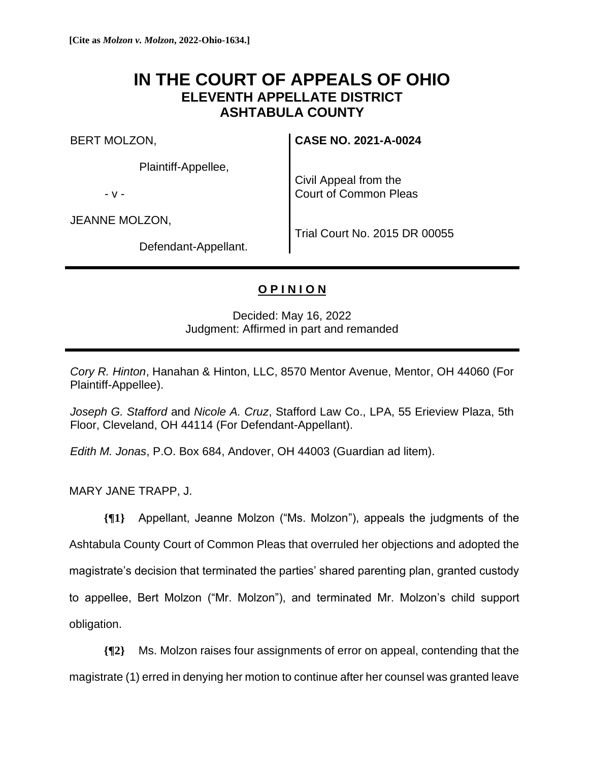# **IN THE COURT OF APPEALS OF OHIO ELEVENTH APPELLATE DISTRICT ASHTABULA COUNTY**

BERT MOLZON,

Plaintiff-Appellee,

- v -

JEANNE MOLZON,

**CASE NO. 2021-A-0024**

Civil Appeal from the Court of Common Pleas

Defendant-Appellant.

Trial Court No. 2015 DR 00055

# **O P I N I O N**

Decided: May 16, 2022 Judgment: Affirmed in part and remanded

*Cory R. Hinton*, Hanahan & Hinton, LLC, 8570 Mentor Avenue, Mentor, OH 44060 (For Plaintiff-Appellee).

*Joseph G. Stafford* and *Nicole A. Cruz*, Stafford Law Co., LPA, 55 Erieview Plaza, 5th Floor, Cleveland, OH 44114 (For Defendant-Appellant).

*Edith M. Jonas*, P.O. Box 684, Andover, OH 44003 (Guardian ad litem).

MARY JANE TRAPP, J.

**{¶1}** Appellant, Jeanne Molzon ("Ms. Molzon"), appeals the judgments of the Ashtabula County Court of Common Pleas that overruled her objections and adopted the magistrate's decision that terminated the parties' shared parenting plan, granted custody to appellee, Bert Molzon ("Mr. Molzon"), and terminated Mr. Molzon's child support obligation.

**{¶2}** Ms. Molzon raises four assignments of error on appeal, contending that the magistrate (1) erred in denying her motion to continue after her counsel was granted leave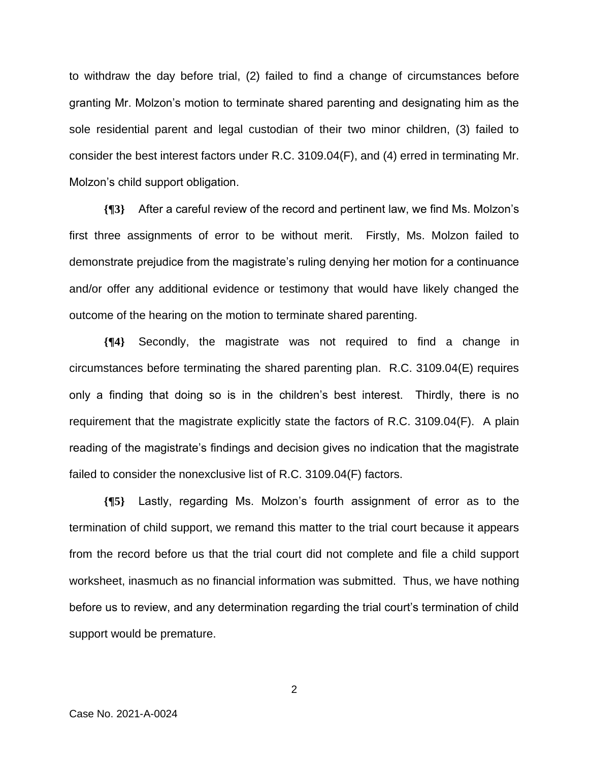to withdraw the day before trial, (2) failed to find a change of circumstances before granting Mr. Molzon's motion to terminate shared parenting and designating him as the sole residential parent and legal custodian of their two minor children, (3) failed to consider the best interest factors under R.C. 3109.04(F), and (4) erred in terminating Mr. Molzon's child support obligation.

**{¶3}** After a careful review of the record and pertinent law, we find Ms. Molzon's first three assignments of error to be without merit. Firstly, Ms. Molzon failed to demonstrate prejudice from the magistrate's ruling denying her motion for a continuance and/or offer any additional evidence or testimony that would have likely changed the outcome of the hearing on the motion to terminate shared parenting.

**{¶4}** Secondly, the magistrate was not required to find a change in circumstances before terminating the shared parenting plan. R.C. 3109.04(E) requires only a finding that doing so is in the children's best interest. Thirdly, there is no requirement that the magistrate explicitly state the factors of R.C. 3109.04(F). A plain reading of the magistrate's findings and decision gives no indication that the magistrate failed to consider the nonexclusive list of R.C. 3109.04(F) factors.

**{¶5}** Lastly, regarding Ms. Molzon's fourth assignment of error as to the termination of child support, we remand this matter to the trial court because it appears from the record before us that the trial court did not complete and file a child support worksheet, inasmuch as no financial information was submitted. Thus, we have nothing before us to review, and any determination regarding the trial court's termination of child support would be premature.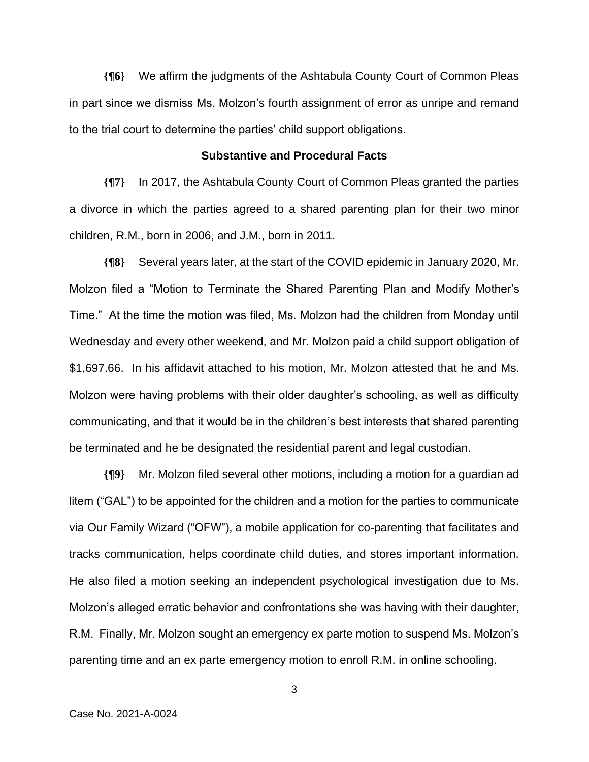**{¶6}** We affirm the judgments of the Ashtabula County Court of Common Pleas in part since we dismiss Ms. Molzon's fourth assignment of error as unripe and remand to the trial court to determine the parties' child support obligations.

# **Substantive and Procedural Facts**

**{¶7}** In 2017, the Ashtabula County Court of Common Pleas granted the parties a divorce in which the parties agreed to a shared parenting plan for their two minor children, R.M., born in 2006, and J.M., born in 2011.

**{¶8}** Several years later, at the start of the COVID epidemic in January 2020, Mr. Molzon filed a "Motion to Terminate the Shared Parenting Plan and Modify Mother's Time." At the time the motion was filed, Ms. Molzon had the children from Monday until Wednesday and every other weekend, and Mr. Molzon paid a child support obligation of \$1,697.66. In his affidavit attached to his motion, Mr. Molzon attested that he and Ms. Molzon were having problems with their older daughter's schooling, as well as difficulty communicating, and that it would be in the children's best interests that shared parenting be terminated and he be designated the residential parent and legal custodian.

**{¶9}** Mr. Molzon filed several other motions, including a motion for a guardian ad litem ("GAL") to be appointed for the children and a motion for the parties to communicate via Our Family Wizard ("OFW"), a mobile application for co-parenting that facilitates and tracks communication, helps coordinate child duties, and stores important information. He also filed a motion seeking an independent psychological investigation due to Ms. Molzon's alleged erratic behavior and confrontations she was having with their daughter, R.M. Finally, Mr. Molzon sought an emergency ex parte motion to suspend Ms. Molzon's parenting time and an ex parte emergency motion to enroll R.M. in online schooling.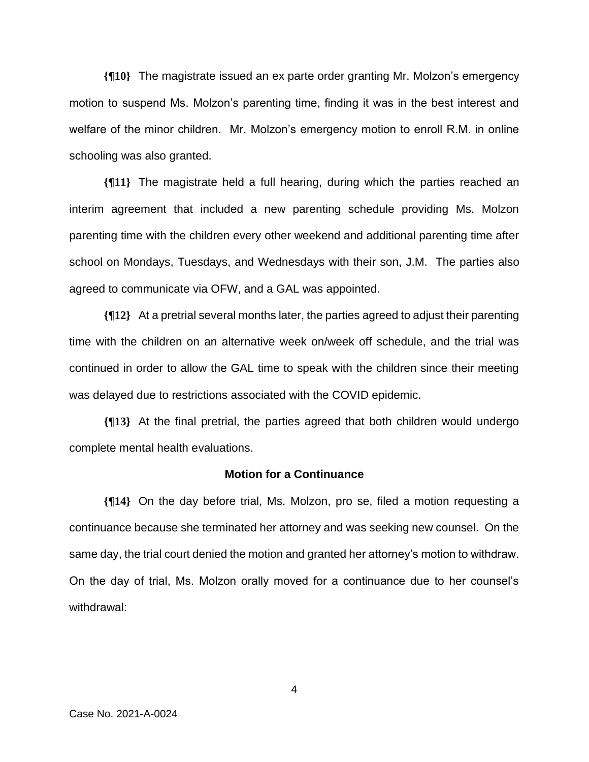**{¶10}** The magistrate issued an ex parte order granting Mr. Molzon's emergency motion to suspend Ms. Molzon's parenting time, finding it was in the best interest and welfare of the minor children. Mr. Molzon's emergency motion to enroll R.M. in online schooling was also granted.

**{¶11}** The magistrate held a full hearing, during which the parties reached an interim agreement that included a new parenting schedule providing Ms. Molzon parenting time with the children every other weekend and additional parenting time after school on Mondays, Tuesdays, and Wednesdays with their son, J.M. The parties also agreed to communicate via OFW, and a GAL was appointed.

**{¶12}** At a pretrial several months later, the parties agreed to adjust their parenting time with the children on an alternative week on/week off schedule, and the trial was continued in order to allow the GAL time to speak with the children since their meeting was delayed due to restrictions associated with the COVID epidemic.

**{¶13}** At the final pretrial, the parties agreed that both children would undergo complete mental health evaluations.

#### **Motion for a Continuance**

**{¶14}** On the day before trial, Ms. Molzon, pro se, filed a motion requesting a continuance because she terminated her attorney and was seeking new counsel. On the same day, the trial court denied the motion and granted her attorney's motion to withdraw. On the day of trial, Ms. Molzon orally moved for a continuance due to her counsel's withdrawal: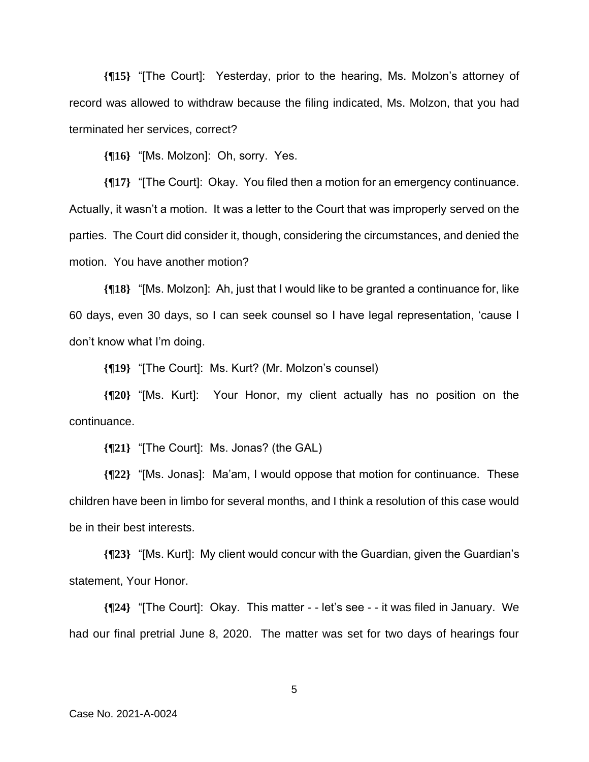**{¶15}** "[The Court]: Yesterday, prior to the hearing, Ms. Molzon's attorney of record was allowed to withdraw because the filing indicated, Ms. Molzon, that you had terminated her services, correct?

**{¶16}** "[Ms. Molzon]: Oh, sorry. Yes.

**{¶17}** "[The Court]: Okay. You filed then a motion for an emergency continuance. Actually, it wasn't a motion. It was a letter to the Court that was improperly served on the parties. The Court did consider it, though, considering the circumstances, and denied the motion. You have another motion?

**{¶18}** "[Ms. Molzon]: Ah, just that I would like to be granted a continuance for, like 60 days, even 30 days, so I can seek counsel so I have legal representation, 'cause I don't know what I'm doing.

**{¶19}** "[The Court]: Ms. Kurt? (Mr. Molzon's counsel)

**{¶20}** "[Ms. Kurt]: Your Honor, my client actually has no position on the continuance.

**{¶21}** "[The Court]: Ms. Jonas? (the GAL)

**{¶22}** "[Ms. Jonas]: Ma'am, I would oppose that motion for continuance. These children have been in limbo for several months, and I think a resolution of this case would be in their best interests.

**{¶23}** "[Ms. Kurt]: My client would concur with the Guardian, given the Guardian's statement, Your Honor.

**{¶24}** "[The Court]: Okay. This matter - - let's see - - it was filed in January. We had our final pretrial June 8, 2020. The matter was set for two days of hearings four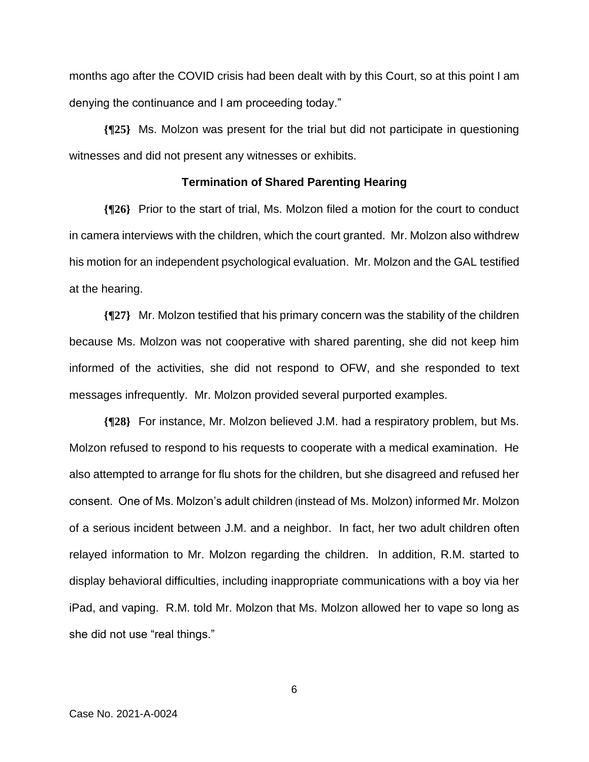months ago after the COVID crisis had been dealt with by this Court, so at this point I am denying the continuance and I am proceeding today."

**{¶25}** Ms. Molzon was present for the trial but did not participate in questioning witnesses and did not present any witnesses or exhibits.

### **Termination of Shared Parenting Hearing**

**{¶26}** Prior to the start of trial, Ms. Molzon filed a motion for the court to conduct in camera interviews with the children, which the court granted. Mr. Molzon also withdrew his motion for an independent psychological evaluation. Mr. Molzon and the GAL testified at the hearing.

**{¶27}** Mr. Molzon testified that his primary concern was the stability of the children because Ms. Molzon was not cooperative with shared parenting, she did not keep him informed of the activities, she did not respond to OFW, and she responded to text messages infrequently. Mr. Molzon provided several purported examples.

**{¶28}** For instance, Mr. Molzon believed J.M. had a respiratory problem, but Ms. Molzon refused to respond to his requests to cooperate with a medical examination. He also attempted to arrange for flu shots for the children, but she disagreed and refused her consent. One of Ms. Molzon's adult children (instead of Ms. Molzon) informed Mr. Molzon of a serious incident between J.M. and a neighbor. In fact, her two adult children often relayed information to Mr. Molzon regarding the children. In addition, R.M. started to display behavioral difficulties, including inappropriate communications with a boy via her iPad, and vaping. R.M. told Mr. Molzon that Ms. Molzon allowed her to vape so long as she did not use "real things."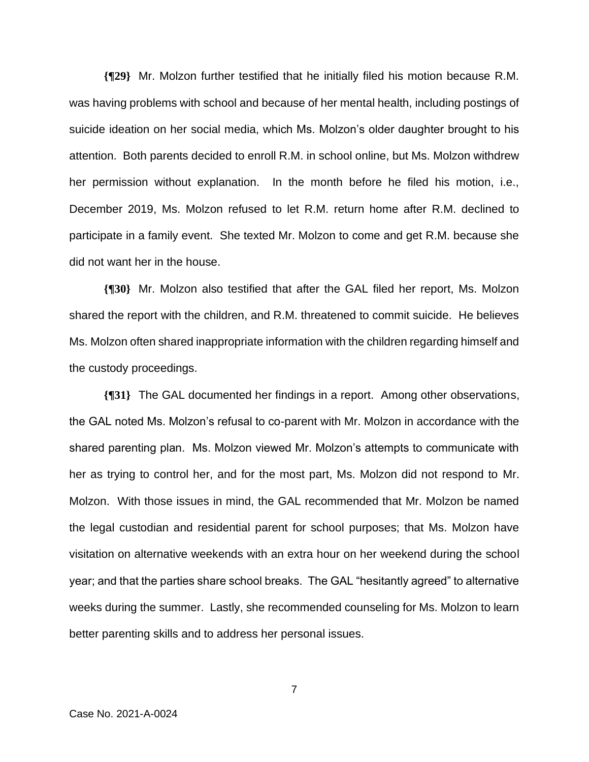**{¶29}** Mr. Molzon further testified that he initially filed his motion because R.M. was having problems with school and because of her mental health, including postings of suicide ideation on her social media, which Ms. Molzon's older daughter brought to his attention. Both parents decided to enroll R.M. in school online, but Ms. Molzon withdrew her permission without explanation. In the month before he filed his motion, i.e., December 2019, Ms. Molzon refused to let R.M. return home after R.M. declined to participate in a family event. She texted Mr. Molzon to come and get R.M. because she did not want her in the house.

**{¶30}** Mr. Molzon also testified that after the GAL filed her report, Ms. Molzon shared the report with the children, and R.M. threatened to commit suicide. He believes Ms. Molzon often shared inappropriate information with the children regarding himself and the custody proceedings.

**{¶31}** The GAL documented her findings in a report. Among other observations, the GAL noted Ms. Molzon's refusal to co-parent with Mr. Molzon in accordance with the shared parenting plan. Ms. Molzon viewed Mr. Molzon's attempts to communicate with her as trying to control her, and for the most part, Ms. Molzon did not respond to Mr. Molzon. With those issues in mind, the GAL recommended that Mr. Molzon be named the legal custodian and residential parent for school purposes; that Ms. Molzon have visitation on alternative weekends with an extra hour on her weekend during the school year; and that the parties share school breaks. The GAL "hesitantly agreed" to alternative weeks during the summer. Lastly, she recommended counseling for Ms. Molzon to learn better parenting skills and to address her personal issues.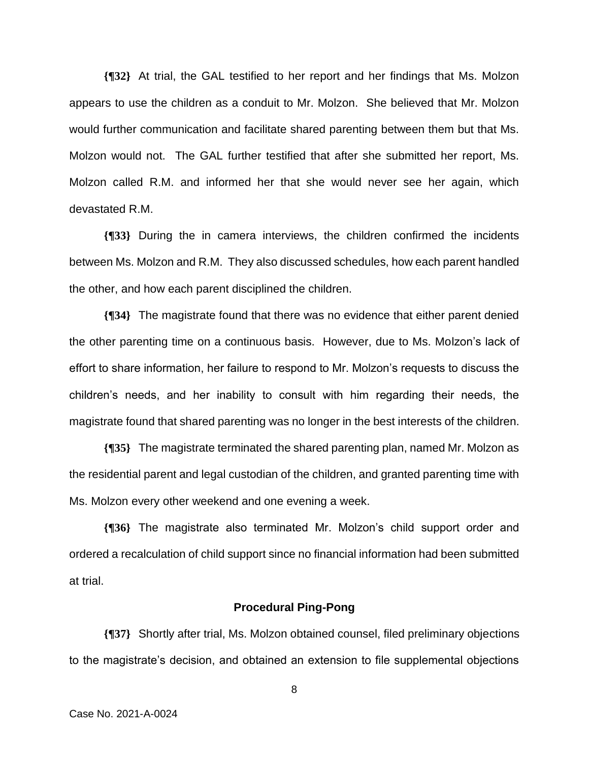**{¶32}** At trial, the GAL testified to her report and her findings that Ms. Molzon appears to use the children as a conduit to Mr. Molzon. She believed that Mr. Molzon would further communication and facilitate shared parenting between them but that Ms. Molzon would not. The GAL further testified that after she submitted her report, Ms. Molzon called R.M. and informed her that she would never see her again, which devastated R.M.

**{¶33}** During the in camera interviews, the children confirmed the incidents between Ms. Molzon and R.M. They also discussed schedules, how each parent handled the other, and how each parent disciplined the children.

**{¶34}** The magistrate found that there was no evidence that either parent denied the other parenting time on a continuous basis. However, due to Ms. Molzon's lack of effort to share information, her failure to respond to Mr. Molzon's requests to discuss the children's needs, and her inability to consult with him regarding their needs, the magistrate found that shared parenting was no longer in the best interests of the children.

**{¶35}** The magistrate terminated the shared parenting plan, named Mr. Molzon as the residential parent and legal custodian of the children, and granted parenting time with Ms. Molzon every other weekend and one evening a week.

**{¶36}** The magistrate also terminated Mr. Molzon's child support order and ordered a recalculation of child support since no financial information had been submitted at trial.

## **Procedural Ping-Pong**

**{¶37}** Shortly after trial, Ms. Molzon obtained counsel, filed preliminary objections to the magistrate's decision, and obtained an extension to file supplemental objections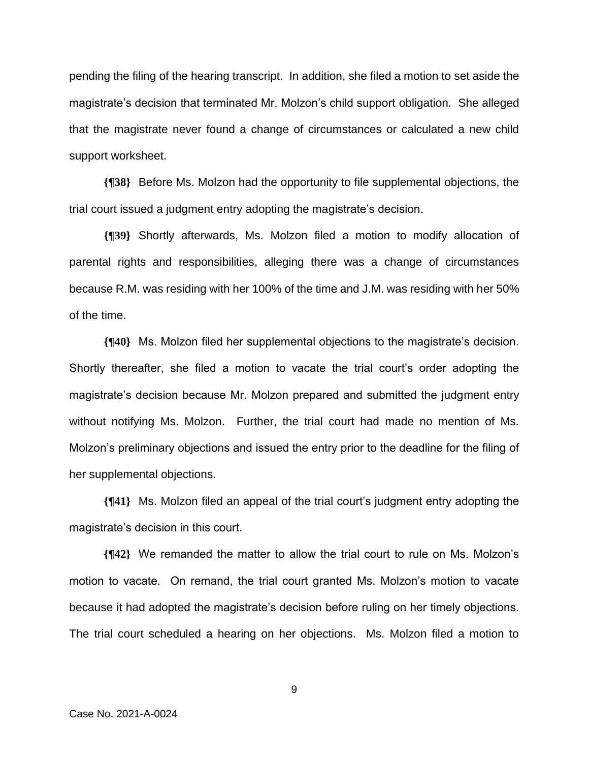pending the filing of the hearing transcript. In addition, she filed a motion to set aside the magistrate's decision that terminated Mr. Molzon's child support obligation. She alleged that the magistrate never found a change of circumstances or calculated a new child support worksheet.

**{¶38}** Before Ms. Molzon had the opportunity to file supplemental objections, the trial court issued a judgment entry adopting the magistrate's decision.

**{¶39}** Shortly afterwards, Ms. Molzon filed a motion to modify allocation of parental rights and responsibilities, alleging there was a change of circumstances because R.M. was residing with her 100% of the time and J.M. was residing with her 50% of the time.

**{¶40}** Ms. Molzon filed her supplemental objections to the magistrate's decision. Shortly thereafter, she filed a motion to vacate the trial court's order adopting the magistrate's decision because Mr. Molzon prepared and submitted the judgment entry without notifying Ms. Molzon. Further, the trial court had made no mention of Ms. Molzon's preliminary objections and issued the entry prior to the deadline for the filing of her supplemental objections.

**{¶41}** Ms. Molzon filed an appeal of the trial court's judgment entry adopting the magistrate's decision in this court.

**{¶42}** We remanded the matter to allow the trial court to rule on Ms. Molzon's motion to vacate. On remand, the trial court granted Ms. Molzon's motion to vacate because it had adopted the magistrate's decision before ruling on her timely objections. The trial court scheduled a hearing on her objections. Ms. Molzon filed a motion to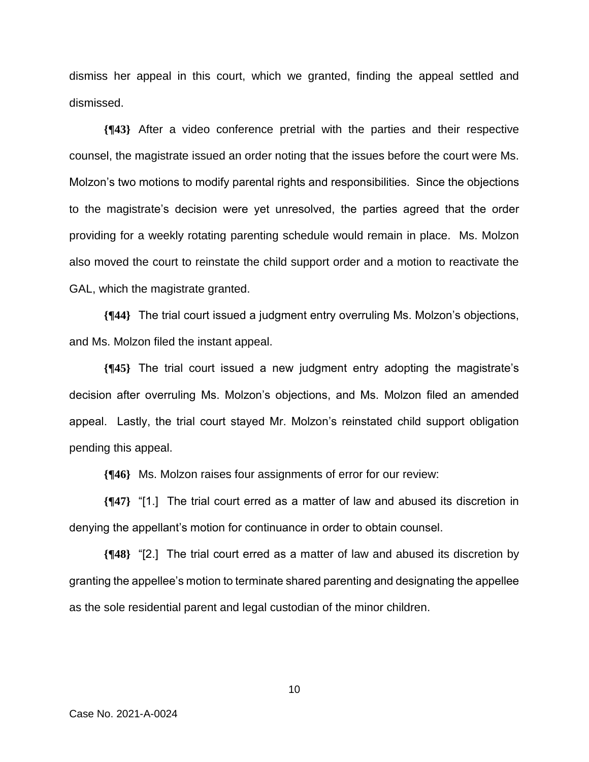dismiss her appeal in this court, which we granted, finding the appeal settled and dismissed.

**{¶43}** After a video conference pretrial with the parties and their respective counsel, the magistrate issued an order noting that the issues before the court were Ms. Molzon's two motions to modify parental rights and responsibilities. Since the objections to the magistrate's decision were yet unresolved, the parties agreed that the order providing for a weekly rotating parenting schedule would remain in place. Ms. Molzon also moved the court to reinstate the child support order and a motion to reactivate the GAL, which the magistrate granted.

**{¶44}** The trial court issued a judgment entry overruling Ms. Molzon's objections, and Ms. Molzon filed the instant appeal.

**{¶45}** The trial court issued a new judgment entry adopting the magistrate's decision after overruling Ms. Molzon's objections, and Ms. Molzon filed an amended appeal. Lastly, the trial court stayed Mr. Molzon's reinstated child support obligation pending this appeal.

**{¶46}** Ms. Molzon raises four assignments of error for our review:

**{¶47}** "[1.] The trial court erred as a matter of law and abused its discretion in denying the appellant's motion for continuance in order to obtain counsel.

**{¶48}** "[2.] The trial court erred as a matter of law and abused its discretion by granting the appellee's motion to terminate shared parenting and designating the appellee as the sole residential parent and legal custodian of the minor children.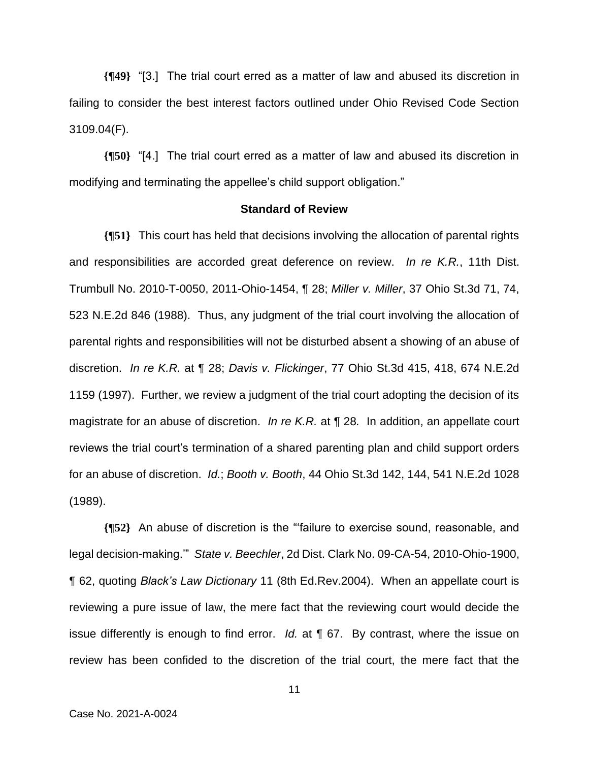**{¶49}** "[3.] The trial court erred as a matter of law and abused its discretion in failing to consider the best interest factors outlined under Ohio Revised Code Section 3109.04(F).

**{¶50}** "[4.] The trial court erred as a matter of law and abused its discretion in modifying and terminating the appellee's child support obligation."

#### **Standard of Review**

**{¶51}** This court has held that decisions involving the allocation of parental rights and responsibilities are accorded great deference on review. *In re K.R.*, 11th Dist. Trumbull No. 2010-T-0050, 2011-Ohio-1454, ¶ 28; *Miller v. Miller*, 37 Ohio St.3d 71, 74, 523 N.E.2d 846 (1988). Thus, any judgment of the trial court involving the allocation of parental rights and responsibilities will not be disturbed absent a showing of an abuse of discretion. *In re K.R.* at ¶ 28; *Davis v. Flickinger*, 77 Ohio St.3d 415, 418, 674 N.E.2d 1159 (1997). Further, we review a judgment of the trial court adopting the decision of its magistrate for an abuse of discretion. *In re K.R.* at ¶ 28*.* In addition, an appellate court reviews the trial court's termination of a shared parenting plan and child support orders for an abuse of discretion. *Id.*; *Booth v. Booth*, 44 Ohio St.3d 142, 144, 541 N.E.2d 1028 (1989).

**{¶52}** An abuse of discretion is the "'failure to exercise sound, reasonable, and legal decision-making.'" *State v. Beechler*, 2d Dist. Clark No. 09-CA-54, 2010-Ohio-1900, ¶ 62, quoting *Black's Law Dictionary* 11 (8th Ed.Rev.2004). When an appellate court is reviewing a pure issue of law, the mere fact that the reviewing court would decide the issue differently is enough to find error. *Id.* at ¶ 67. By contrast, where the issue on review has been confided to the discretion of the trial court, the mere fact that the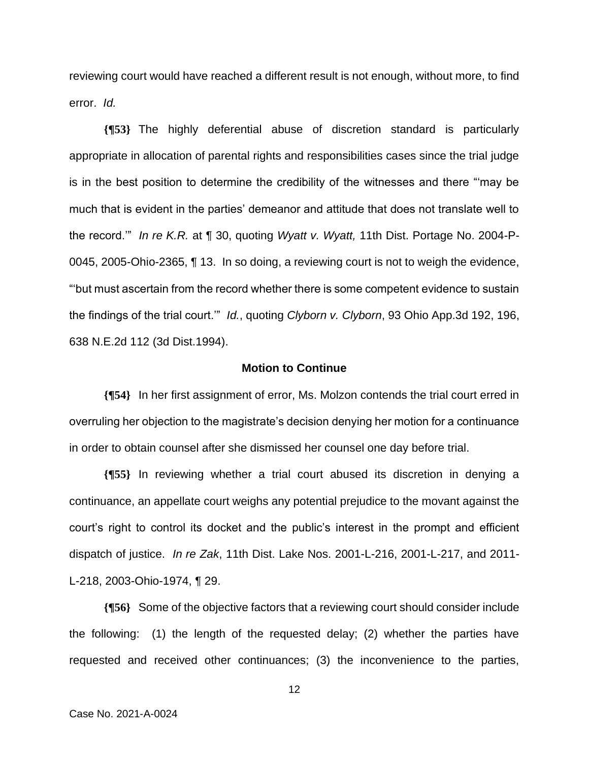reviewing court would have reached a different result is not enough, without more, to find error. *Id.*

**{¶53}** The highly deferential abuse of discretion standard is particularly appropriate in allocation of parental rights and responsibilities cases since the trial judge is in the best position to determine the credibility of the witnesses and there "'may be much that is evident in the parties' demeanor and attitude that does not translate well to the record.'" *In re K.R.* at ¶ 30, quoting *Wyatt v. Wyatt,* 11th Dist. Portage No. 2004-P-0045, 2005-Ohio-2365, ¶ 13. In so doing, a reviewing court is not to weigh the evidence, "'but must ascertain from the record whether there is some competent evidence to sustain the findings of the trial court.'" *Id.*, quoting *Clyborn v. Clyborn*, 93 Ohio App.3d 192, 196, 638 N.E.2d 112 (3d Dist.1994).

# **Motion to Continue**

**{¶54}** In her first assignment of error, Ms. Molzon contends the trial court erred in overruling her objection to the magistrate's decision denying her motion for a continuance in order to obtain counsel after she dismissed her counsel one day before trial.

**{¶55}** In reviewing whether a trial court abused its discretion in denying a continuance, an appellate court weighs any potential prejudice to the movant against the court's right to control its docket and the public's interest in the prompt and efficient dispatch of justice. *In re Zak*, 11th Dist. Lake Nos. 2001-L-216, 2001-L-217, and 2011- L-218, 2003-Ohio-1974, ¶ 29.

**{¶56}** Some of the objective factors that a reviewing court should consider include the following: (1) the length of the requested delay; (2) whether the parties have requested and received other continuances; (3) the inconvenience to the parties,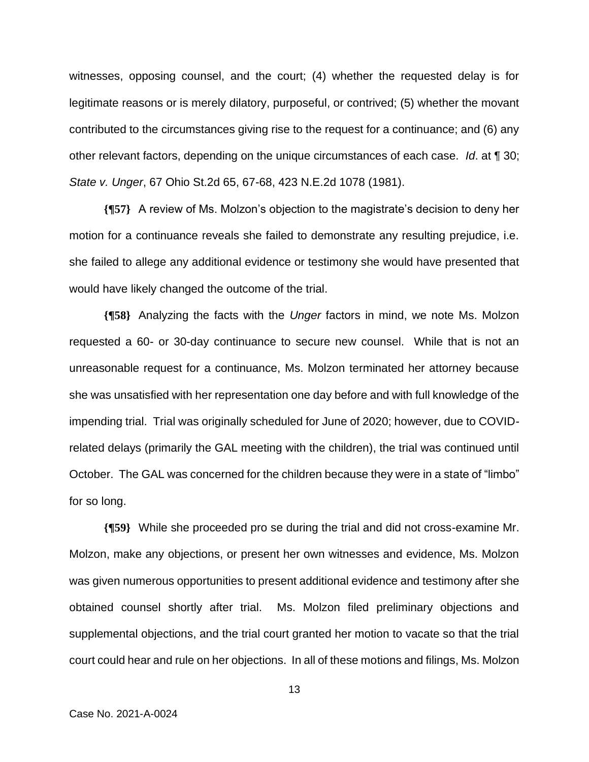witnesses, opposing counsel, and the court; (4) whether the requested delay is for legitimate reasons or is merely dilatory, purposeful, or contrived; (5) whether the movant contributed to the circumstances giving rise to the request for a continuance; and (6) any other relevant factors, depending on the unique circumstances of each case. *Id*. at ¶ 30; *State v. Unger*, 67 Ohio St.2d 65, 67-68, 423 N.E.2d 1078 (1981).

**{¶57}** A review of Ms. Molzon's objection to the magistrate's decision to deny her motion for a continuance reveals she failed to demonstrate any resulting prejudice, i.e. she failed to allege any additional evidence or testimony she would have presented that would have likely changed the outcome of the trial.

**{¶58}** Analyzing the facts with the *Unger* factors in mind, we note Ms. Molzon requested a 60- or 30-day continuance to secure new counsel. While that is not an unreasonable request for a continuance, Ms. Molzon terminated her attorney because she was unsatisfied with her representation one day before and with full knowledge of the impending trial. Trial was originally scheduled for June of 2020; however, due to COVIDrelated delays (primarily the GAL meeting with the children), the trial was continued until October. The GAL was concerned for the children because they were in a state of "limbo" for so long.

**{¶59}** While she proceeded pro se during the trial and did not cross-examine Mr. Molzon, make any objections, or present her own witnesses and evidence, Ms. Molzon was given numerous opportunities to present additional evidence and testimony after she obtained counsel shortly after trial. Ms. Molzon filed preliminary objections and supplemental objections, and the trial court granted her motion to vacate so that the trial court could hear and rule on her objections. In all of these motions and filings, Ms. Molzon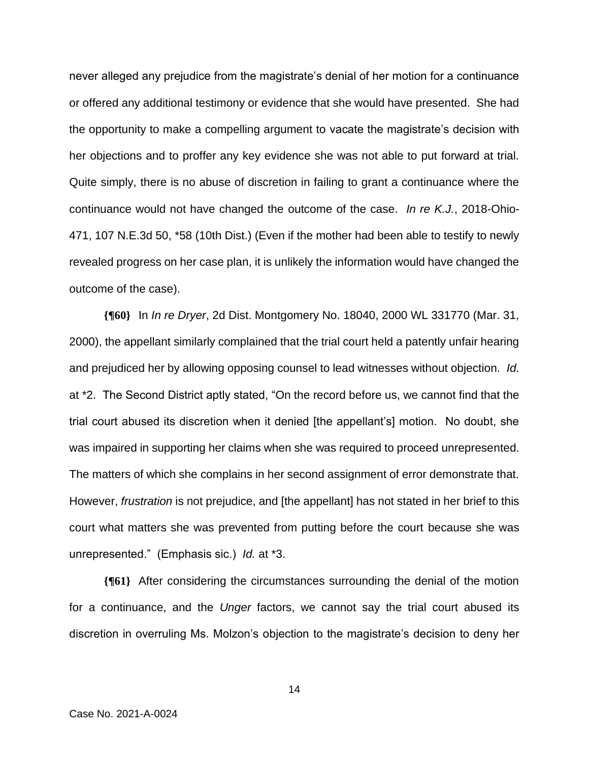never alleged any prejudice from the magistrate's denial of her motion for a continuance or offered any additional testimony or evidence that she would have presented. She had the opportunity to make a compelling argument to vacate the magistrate's decision with her objections and to proffer any key evidence she was not able to put forward at trial. Quite simply, there is no abuse of discretion in failing to grant a continuance where the continuance would not have changed the outcome of the case. *In re K.J.*, 2018-Ohio-471, 107 N.E.3d 50, \*58 (10th Dist.) (Even if the mother had been able to testify to newly revealed progress on her case plan, it is unlikely the information would have changed the outcome of the case).

**{¶60}** In *In re Dryer*, 2d Dist. Montgomery No. 18040, 2000 WL 331770 (Mar. 31, 2000), the appellant similarly complained that the trial court held a patently unfair hearing and prejudiced her by allowing opposing counsel to lead witnesses without objection. *Id.* at \*2. The Second District aptly stated, "On the record before us, we cannot find that the trial court abused its discretion when it denied [the appellant's] motion. No doubt, she was impaired in supporting her claims when she was required to proceed unrepresented. The matters of which she complains in her second assignment of error demonstrate that. However, *frustration* is not prejudice, and [the appellant] has not stated in her brief to this court what matters she was prevented from putting before the court because she was unrepresented." (Emphasis sic.) *Id.* at \*3.

**{¶61}** After considering the circumstances surrounding the denial of the motion for a continuance, and the *Unger* factors, we cannot say the trial court abused its discretion in overruling Ms. Molzon's objection to the magistrate's decision to deny her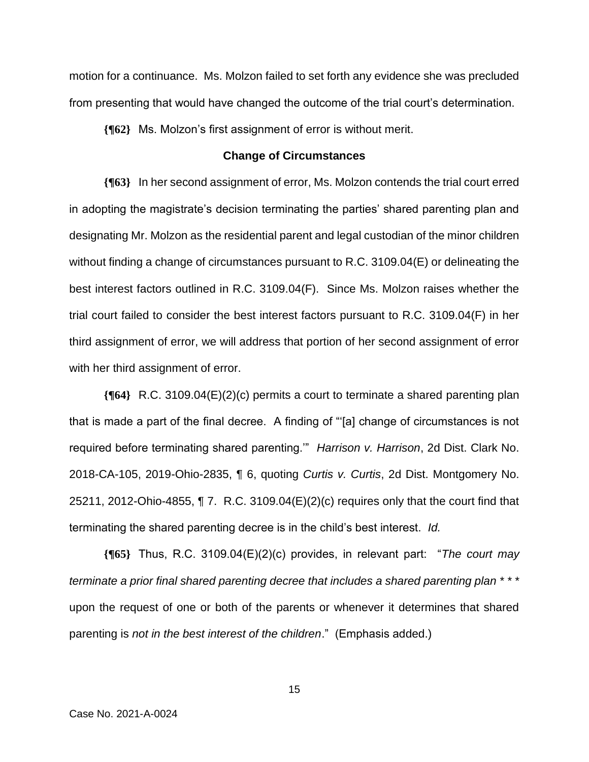motion for a continuance. Ms. Molzon failed to set forth any evidence she was precluded from presenting that would have changed the outcome of the trial court's determination.

**{¶62}** Ms. Molzon's first assignment of error is without merit.

### **Change of Circumstances**

**{¶63}** In her second assignment of error, Ms. Molzon contends the trial court erred in adopting the magistrate's decision terminating the parties' shared parenting plan and designating Mr. Molzon as the residential parent and legal custodian of the minor children without finding a change of circumstances pursuant to R.C. 3109.04(E) or delineating the best interest factors outlined in R.C. 3109.04(F). Since Ms. Molzon raises whether the trial court failed to consider the best interest factors pursuant to R.C. 3109.04(F) in her third assignment of error, we will address that portion of her second assignment of error with her third assignment of error.

**{¶64}** R.C. 3109.04(E)(2)(c) permits a court to terminate a shared parenting plan that is made a part of the final decree. A finding of "'[a] change of circumstances is not required before terminating shared parenting.'" *Harrison v. Harrison*, 2d Dist. Clark No. 2018-CA-105, 2019-Ohio-2835, ¶ 6, quoting *Curtis v. Curtis*, 2d Dist. Montgomery No. 25211, 2012-Ohio-4855, ¶ 7. R.C. 3109.04(E)(2)(c) requires only that the court find that terminating the shared parenting decree is in the child's best interest. *Id.*

**{¶65}** Thus, R.C. 3109.04(E)(2)(c) provides, in relevant part: "*The court may terminate a prior final shared parenting decree that includes a shared parenting plan* \* \* \* upon the request of one or both of the parents or whenever it determines that shared parenting is *not in the best interest of the children*." (Emphasis added.)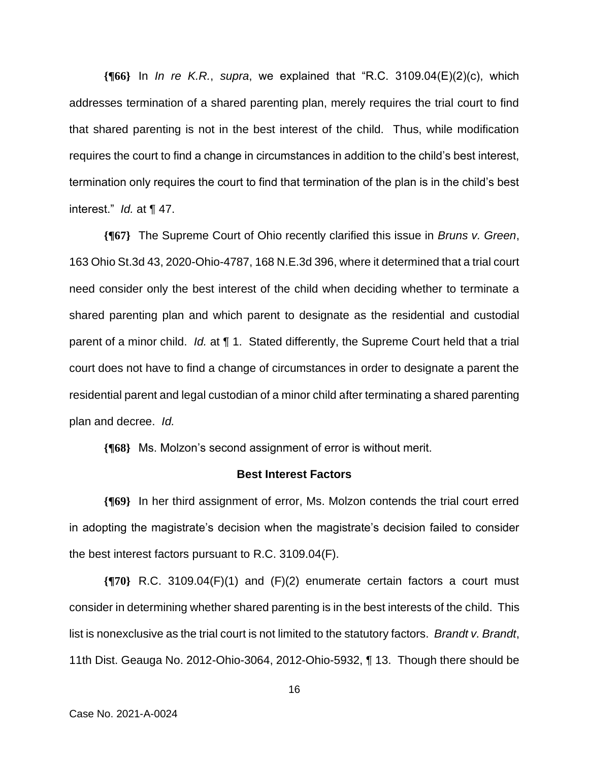**{¶66}** In *In re K.R.*, *supra*, we explained that "R.C. 3109.04(E)(2)(c), which addresses termination of a shared parenting plan, merely requires the trial court to find that shared parenting is not in the best interest of the child. Thus, while modification requires the court to find a change in circumstances in addition to the child's best interest, termination only requires the court to find that termination of the plan is in the child's best interest." *Id.* at ¶ 47.

**{¶67}** The Supreme Court of Ohio recently clarified this issue in *Bruns v. Green*, 163 Ohio St.3d 43, 2020-Ohio-4787, 168 N.E.3d 396, where it determined that a trial court need consider only the best interest of the child when deciding whether to terminate a shared parenting plan and which parent to designate as the residential and custodial parent of a minor child. *Id.* at ¶ 1. Stated differently, the Supreme Court held that a trial court does not have to find a change of circumstances in order to designate a parent the residential parent and legal custodian of a minor child after terminating a shared parenting plan and decree. *Id.*

**{¶68}** Ms. Molzon's second assignment of error is without merit.

#### **Best Interest Factors**

**{¶69}** In her third assignment of error, Ms. Molzon contends the trial court erred in adopting the magistrate's decision when the magistrate's decision failed to consider the best interest factors pursuant to R.C. 3109.04(F).

**{¶70}** R.C. 3109.04(F)(1) and (F)(2) enumerate certain factors a court must consider in determining whether shared parenting is in the best interests of the child. This list is nonexclusive as the trial court is not limited to the statutory factors. *Brandt v. Brandt*, 11th Dist. Geauga No. 2012-Ohio-3064, 2012-Ohio-5932, ¶ 13. Though there should be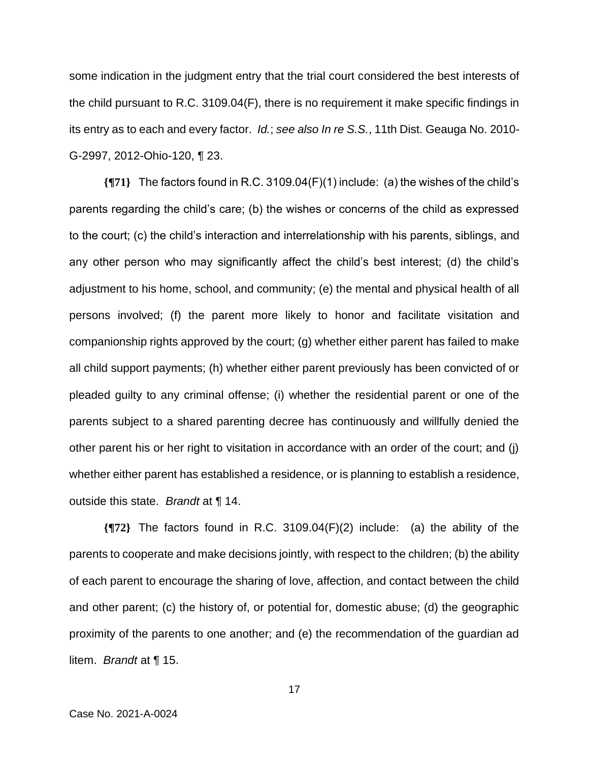some indication in the judgment entry that the trial court considered the best interests of the child pursuant to R.C. 3109.04(F), there is no requirement it make specific findings in its entry as to each and every factor. *Id.*; *see also In re S.S.*, 11th Dist. Geauga No. 2010- G-2997, 2012-Ohio-120, ¶ 23.

**{¶71}** The factors found in R.C. 3109.04(F)(1) include: (a) the wishes of the child's parents regarding the child's care; (b) the wishes or concerns of the child as expressed to the court; (c) the child's interaction and interrelationship with his parents, siblings, and any other person who may significantly affect the child's best interest; (d) the child's adjustment to his home, school, and community; (e) the mental and physical health of all persons involved; (f) the parent more likely to honor and facilitate visitation and companionship rights approved by the court; (g) whether either parent has failed to make all child support payments; (h) whether either parent previously has been convicted of or pleaded guilty to any criminal offense; (i) whether the residential parent or one of the parents subject to a shared parenting decree has continuously and willfully denied the other parent his or her right to visitation in accordance with an order of the court; and (j) whether either parent has established a residence, or is planning to establish a residence, outside this state. *Brandt* at ¶ 14.

**{¶72}** The factors found in R.C. 3109.04(F)(2) include: (a) the ability of the parents to cooperate and make decisions jointly, with respect to the children; (b) the ability of each parent to encourage the sharing of love, affection, and contact between the child and other parent; (c) the history of, or potential for, domestic abuse; (d) the geographic proximity of the parents to one another; and (e) the recommendation of the guardian ad litem. *Brandt* at ¶ 15.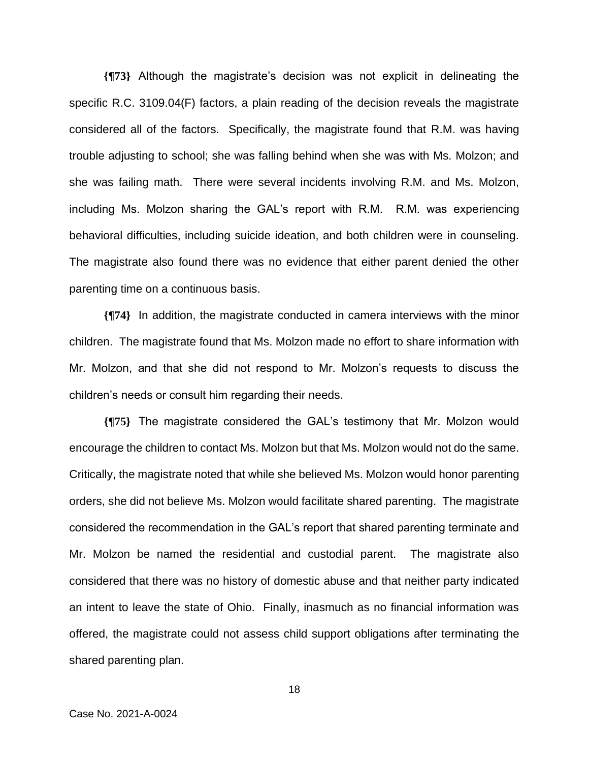**{¶73}** Although the magistrate's decision was not explicit in delineating the specific R.C. 3109.04(F) factors, a plain reading of the decision reveals the magistrate considered all of the factors. Specifically, the magistrate found that R.M. was having trouble adjusting to school; she was falling behind when she was with Ms. Molzon; and she was failing math. There were several incidents involving R.M. and Ms. Molzon, including Ms. Molzon sharing the GAL's report with R.M. R.M. was experiencing behavioral difficulties, including suicide ideation, and both children were in counseling. The magistrate also found there was no evidence that either parent denied the other parenting time on a continuous basis.

**{¶74}** In addition, the magistrate conducted in camera interviews with the minor children. The magistrate found that Ms. Molzon made no effort to share information with Mr. Molzon, and that she did not respond to Mr. Molzon's requests to discuss the children's needs or consult him regarding their needs.

**{¶75}** The magistrate considered the GAL's testimony that Mr. Molzon would encourage the children to contact Ms. Molzon but that Ms. Molzon would not do the same. Critically, the magistrate noted that while she believed Ms. Molzon would honor parenting orders, she did not believe Ms. Molzon would facilitate shared parenting. The magistrate considered the recommendation in the GAL's report that shared parenting terminate and Mr. Molzon be named the residential and custodial parent. The magistrate also considered that there was no history of domestic abuse and that neither party indicated an intent to leave the state of Ohio. Finally, inasmuch as no financial information was offered, the magistrate could not assess child support obligations after terminating the shared parenting plan.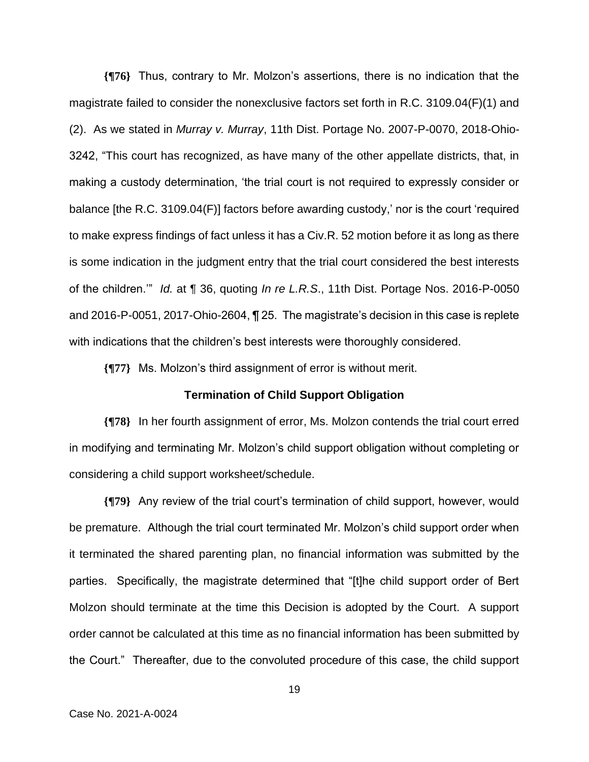**{¶76}** Thus, contrary to Mr. Molzon's assertions, there is no indication that the magistrate failed to consider the nonexclusive factors set forth in R.C. 3109.04(F)(1) and (2). As we stated in *Murray v. Murray*, 11th Dist. Portage No. 2007-P-0070, 2018-Ohio-3242, "This court has recognized, as have many of the other appellate districts, that, in making a custody determination, 'the trial court is not required to expressly consider or balance [the R.C. 3109.04(F)] factors before awarding custody,' nor is the court 'required to make express findings of fact unless it has a Civ.R. 52 motion before it as long as there is some indication in the judgment entry that the trial court considered the best interests of the children.'" *Id.* at ¶ 36, quoting *In re L.R.S*., 11th Dist. Portage Nos. 2016-P-0050 and 2016-P-0051, 2017-Ohio-2604, ¶ 25. The magistrate's decision in this case is replete with indications that the children's best interests were thoroughly considered.

**{¶77}** Ms. Molzon's third assignment of error is without merit.

#### **Termination of Child Support Obligation**

**{¶78}** In her fourth assignment of error, Ms. Molzon contends the trial court erred in modifying and terminating Mr. Molzon's child support obligation without completing or considering a child support worksheet/schedule.

**{¶79}** Any review of the trial court's termination of child support, however, would be premature. Although the trial court terminated Mr. Molzon's child support order when it terminated the shared parenting plan, no financial information was submitted by the parties. Specifically, the magistrate determined that "[t]he child support order of Bert Molzon should terminate at the time this Decision is adopted by the Court. A support order cannot be calculated at this time as no financial information has been submitted by the Court." Thereafter, due to the convoluted procedure of this case, the child support